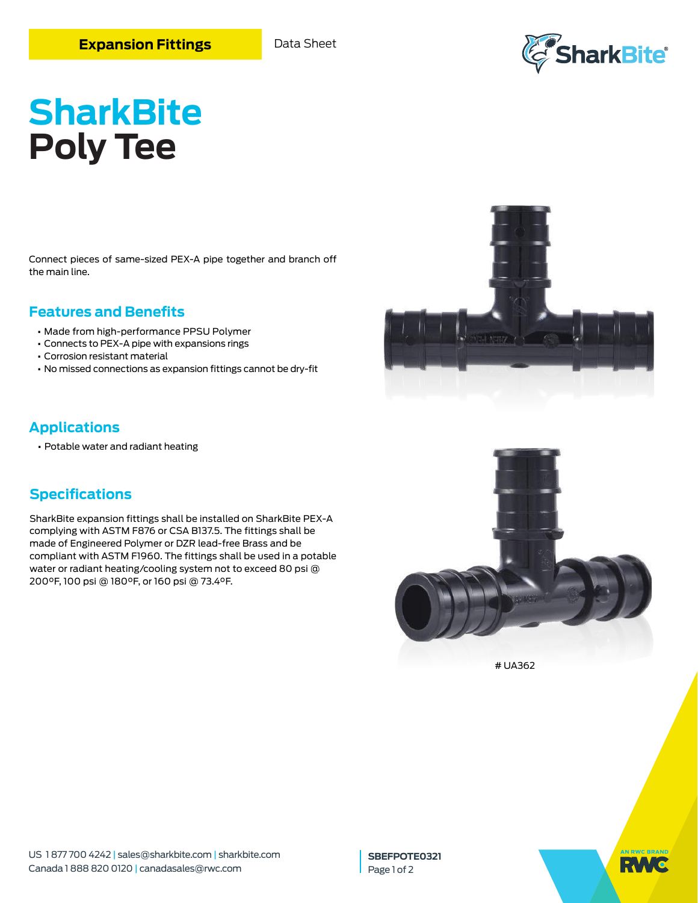

# **SharkBite Poly Tee**

Connect pieces of same-sized PEX-A pipe together and branch off the main line.

## **Features and Benefits**

- **•** Made from high-performance PPSU Polymer
- **•** Connects to PEX-A pipe with expansions rings
- **•** Corrosion resistant material
- **•** No missed connections as expansion fittings cannot be dry-fit



## **Applications**

**•** Potable water and radiant heating

# **Specifications**

SharkBite expansion fittings shall be installed on SharkBite PEX-A complying with ASTM F876 or CSA B137.5. The fittings shall be made of Engineered Polymer or DZR lead-free Brass and be compliant with ASTM F1960. The fittings shall be used in a potable water or radiant heating/cooling system not to exceed 80 psi @ 200°F, 100 psi @ 180°F, or 160 psi @ 73.4°F.



# UA362

**SBEFPOTE0321** Page 1 of 2